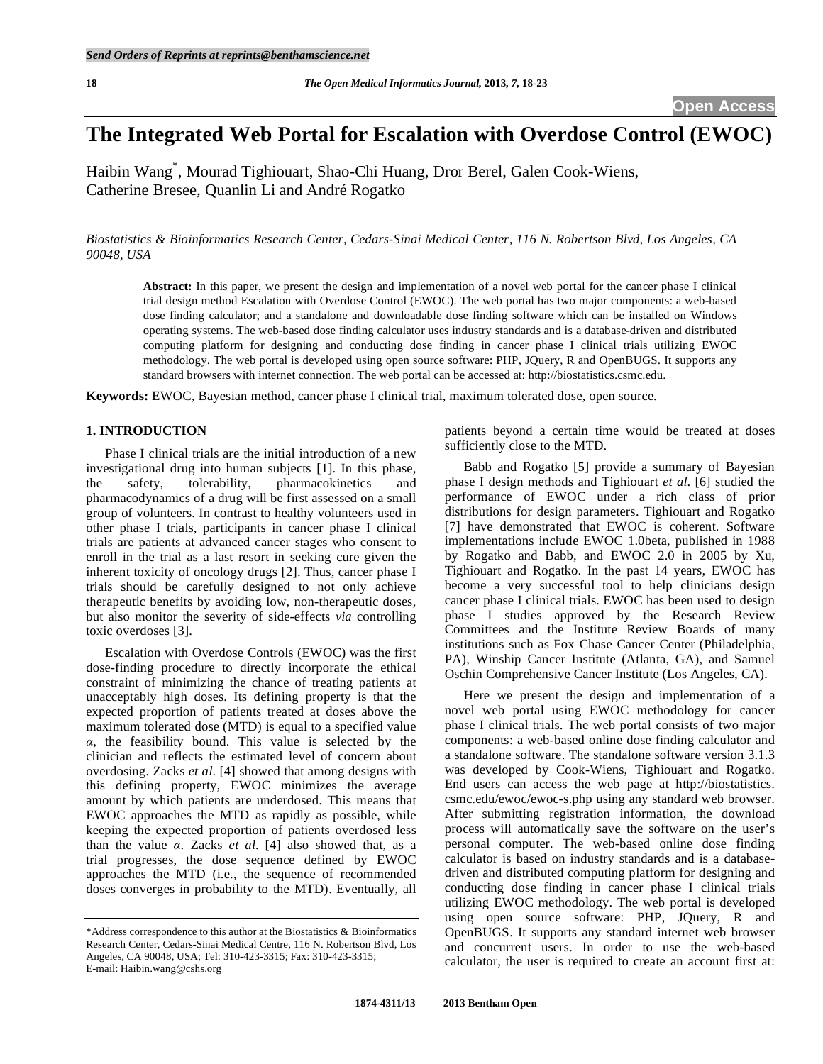# **The Integrated Web Portal for Escalation with Overdose Control (EWOC)**

Haibin Wang\* , Mourad Tighiouart, Shao-Chi Huang, Dror Berel, Galen Cook-Wiens, Catherine Bresee, Quanlin Li and André Rogatko

*Biostatistics & Bioinformatics Research Center, Cedars-Sinai Medical Center, 116 N. Robertson Blvd, Los Angeles, CA 90048, USA* 

**Abstract:** In this paper, we present the design and implementation of a novel web portal for the cancer phase I clinical trial design method Escalation with Overdose Control (EWOC). The web portal has two major components: a web-based dose finding calculator; and a standalone and downloadable dose finding software which can be installed on Windows operating systems. The web-based dose finding calculator uses industry standards and is a database-driven and distributed computing platform for designing and conducting dose finding in cancer phase I clinical trials utilizing EWOC methodology. The web portal is developed using open source software: PHP, JQuery, R and OpenBUGS. It supports any standard browsers with internet connection. The web portal can be accessed at: http://biostatistics.csmc.edu.

**Keywords:** EWOC, Bayesian method, cancer phase I clinical trial, maximum tolerated dose, open source.

# **1. INTRODUCTION**

 Phase I clinical trials are the initial introduction of a new investigational drug into human subjects [1]. In this phase, the safety, tolerability, pharmacokinetics and pharmacodynamics of a drug will be first assessed on a small group of volunteers. In contrast to healthy volunteers used in other phase I trials, participants in cancer phase I clinical trials are patients at advanced cancer stages who consent to enroll in the trial as a last resort in seeking cure given the inherent toxicity of oncology drugs [2]. Thus, cancer phase I trials should be carefully designed to not only achieve therapeutic benefits by avoiding low, non-therapeutic doses, but also monitor the severity of side-effects *via* controlling toxic overdoses [3].

 Escalation with Overdose Controls (EWOC) was the first dose-finding procedure to directly incorporate the ethical constraint of minimizing the chance of treating patients at unacceptably high doses. Its defining property is that the expected proportion of patients treated at doses above the maximum tolerated dose (MTD) is equal to a specified value  $\alpha$ , the feasibility bound. This value is selected by the clinician and reflects the estimated level of concern about overdosing. Zacks *et al*. [4] showed that among designs with this defining property, EWOC minimizes the average amount by which patients are underdosed. This means that EWOC approaches the MTD as rapidly as possible, while keeping the expected proportion of patients overdosed less than the value  $\alpha$ . Zacks *et al.* [4] also showed that, as a trial progresses, the dose sequence defined by EWOC approaches the MTD (i.e., the sequence of recommended doses converges in probability to the MTD). Eventually, all

patients beyond a certain time would be treated at doses sufficiently close to the MTD.

 Babb and Rogatko [5] provide a summary of Bayesian phase I design methods and Tighiouart *et al*. [6] studied the performance of EWOC under a rich class of prior distributions for design parameters. Tighiouart and Rogatko [7] have demonstrated that EWOC is coherent. Software implementations include EWOC 1.0beta, published in 1988 by Rogatko and Babb, and EWOC 2.0 in 2005 by Xu, Tighiouart and Rogatko. In the past 14 years, EWOC has become a very successful tool to help clinicians design cancer phase I clinical trials. EWOC has been used to design phase I studies approved by the Research Review Committees and the Institute Review Boards of many institutions such as Fox Chase Cancer Center (Philadelphia, PA), Winship Cancer Institute (Atlanta, GA), and Samuel Oschin Comprehensive Cancer Institute (Los Angeles, CA).

 Here we present the design and implementation of a novel web portal using EWOC methodology for cancer phase I clinical trials. The web portal consists of two major components: a web-based online dose finding calculator and a standalone software. The standalone software version 3.1.3 was developed by Cook-Wiens, Tighiouart and Rogatko. End users can access the web page at http://biostatistics. csmc.edu/ewoc/ewoc-s.php using any standard web browser. After submitting registration information, the download process will automatically save the software on the user's personal computer. The web-based online dose finding calculator is based on industry standards and is a databasedriven and distributed computing platform for designing and conducting dose finding in cancer phase I clinical trials utilizing EWOC methodology. The web portal is developed using open source software: PHP, JQuery, R and OpenBUGS. It supports any standard internet web browser and concurrent users. In order to use the web-based calculator, the user is required to create an account first at:

<sup>\*</sup>Address correspondence to this author at the Biostatistics & Bioinformatics Research Center, Cedars-Sinai Medical Centre, 116 N. Robertson Blvd, Los Angeles, CA 90048, USA; Tel: 310-423-3315; Fax: 310-423-3315; E-mail: Haibin.wang@cshs.org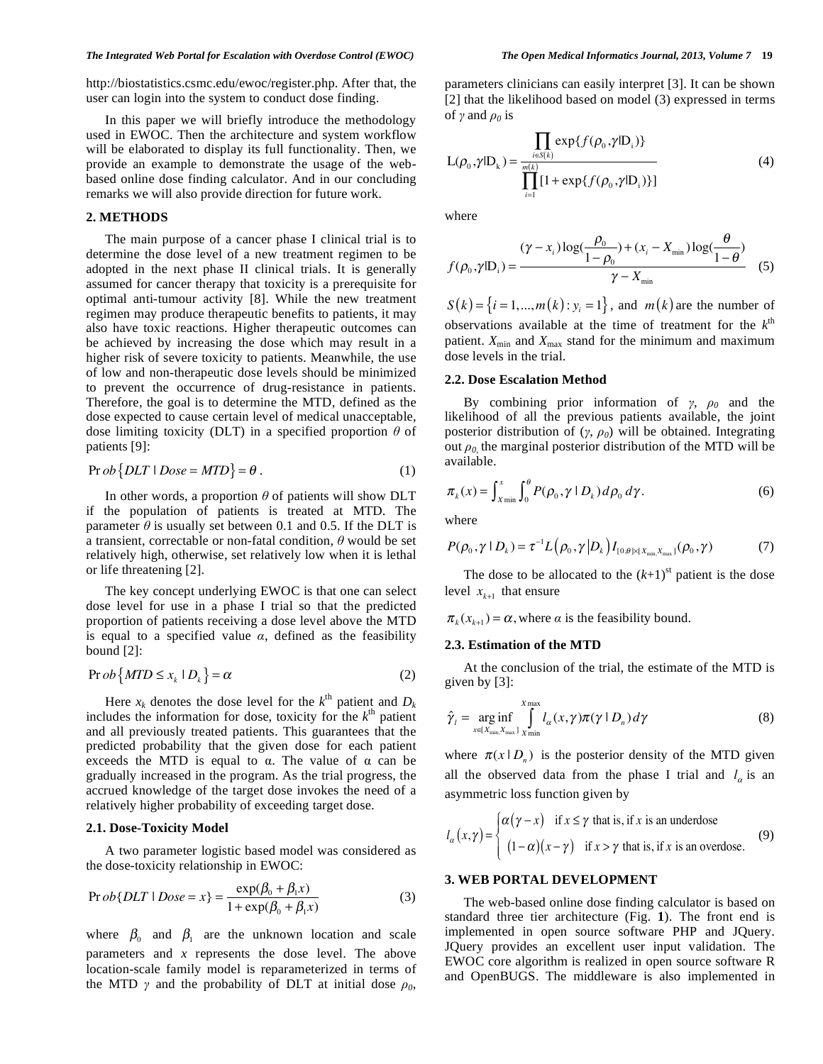#### *The Integrated Web Portal for Escalation with Overdose Control (EWOC) The Open Medical Informatics Journal, 2013, Volume 7* **19**

http://biostatistics.csmc.edu/ewoc/register.php. After that, the user can login into the system to conduct dose finding.

 In this paper we will briefly introduce the methodology used in EWOC. Then the architecture and system workflow will be elaborated to display its full functionality. Then, we provide an example to demonstrate the usage of the webbased online dose finding calculator. And in our concluding remarks we will also provide direction for future work.

#### **2. METHODS**

 The main purpose of a cancer phase I clinical trial is to determine the dose level of a new treatment regimen to be adopted in the next phase II clinical trials. It is generally assumed for cancer therapy that toxicity is a prerequisite for optimal anti-tumour activity [8]. While the new treatment regimen may produce therapeutic benefits to patients, it may also have toxic reactions. Higher therapeutic outcomes can be achieved by increasing the dose which may result in a higher risk of severe toxicity to patients. Meanwhile, the use of low and non-therapeutic dose levels should be minimized to prevent the occurrence of drug-resistance in patients. Therefore, the goal is to determine the MTD, defined as the dose expected to cause certain level of medical unacceptable, dose limiting toxicity (DLT) in a specified proportion  $\theta$  of patients [9]:

$$
Pr ob\{DLT | Dose = MTD\} = \theta.
$$
 (1)

In other words, a proportion  $\theta$  of patients will show DLT if the population of patients is treated at MTD. The parameter  $\theta$  is usually set between 0.1 and 0.5. If the DLT is a transient, correctable or non-fatal condition,  $\theta$  would be set relatively high, otherwise, set relatively low when it is lethal or life threatening [2].

 The key concept underlying EWOC is that one can select dose level for use in a phase I trial so that the predicted proportion of patients receiving a dose level above the MTD is equal to a specified value  $\alpha$ , defined as the feasibility bound [2]:

$$
\Pr ob\{MTD \le x_k \mid D_k\} = \alpha \tag{2}
$$

Here  $x_k$  denotes the dose level for the  $k^{\text{th}}$  patient and  $D_k$ includes the information for dose, toxicity for the  $k^{\text{th}}$  patient and all previously treated patients. This guarantees that the predicted probability that the given dose for each patient exceeds the MTD is equal to  $\alpha$ . The value of  $\alpha$  can be gradually increased in the program. As the trial progress, the accrued knowledge of the target dose invokes the need of a relatively higher probability of exceeding target dose.

## **2.1. Dose-Toxicity Model**

 A two parameter logistic based model was considered as the dose-toxicity relationship in EWOC:

$$
\Pr{obj[DLT | Dose = x]} = \frac{\exp(\beta_0 + \beta_1 x)}{1 + \exp(\beta_0 + \beta_1 x)}
$$
(3)

where  $\beta_0$  and  $\beta_1$  are the unknown location and scale parameters and *x* represents the dose level. The above location-scale family model is reparameterized in terms of the MTD  $\gamma$  and the probability of DLT at initial dose  $\rho_0$ , parameters clinicians can easily interpret [3]. It can be shown [2] that the likelihood based on model (3) expressed in terms of  $\gamma$  and  $\rho_0$  is

$$
L(\rho_0, \gamma | D_k) = \frac{\prod_{i \in S(k)} exp\{f(\rho_0, \gamma | D_i)\}}{\prod_{i=1}^{m(k)} [1 + exp\{f(\rho_0, \gamma | D_i)\}]}
$$
(4)

where

$$
f(\rho_0, \gamma | \mathbf{D}_i) = \frac{(\gamma - x_i) \log(\frac{\rho_0}{1 - \rho_0}) + (x_i - X_{\min}) \log(\frac{\theta}{1 - \theta})}{\gamma - X_{\min}} \quad (5)
$$

 $S(k) = \{i = 1, ..., m(k) : y_i = 1\}$ , and *m(k)* are the number of observations available at the time of treatment for the  $k^{\text{th}}$ patient.  $X_{\text{min}}$  and  $X_{\text{max}}$  stand for the minimum and maximum dose levels in the trial.

#### **2.2. Dose Escalation Method**

By combining prior information of  $\gamma$ ,  $\rho_0$  and the likelihood of all the previous patients available, the joint posterior distribution of  $(\gamma, \rho_0)$  will be obtained. Integrating out  $\rho_0$  the marginal posterior distribution of the MTD will be available.

$$
\pi_k(x) = \int_{x_{\min}}^x \int_0^{\theta} P(\rho_0, \gamma \mid D_k) d\rho_0 d\gamma.
$$
 (6)

where

$$
P(\rho_0, \gamma \mid D_k) = \tau^{-1} L(\rho_0, \gamma \mid D_k) I_{[0, \theta] \times [X_{\min}, X_{\max}]}(\rho_0, \gamma)
$$
 (7)

The dose to be allocated to the  $(k+1)$ <sup>st</sup> patient is the dose level  $x_{k+1}$  that ensure

 $\pi_k(x_{k+1}) = \alpha$ , where  $\alpha$  is the feasibility bound.

### **2.3. Estimation of the MTD**

 At the conclusion of the trial, the estimate of the MTD is given by [3]:

$$
\hat{\gamma}_l = \underset{x \in [X_{\min}, X_{\max}]}{\arg \inf} \int_{X_{\min}}^{X_{\max}} l_{\alpha}(x, \gamma) \pi(\gamma \mid D_n) d\gamma
$$
\n(8)

where  $\pi(x | D_n)$  is the posterior density of the MTD given all the observed data from the phase I trial and  $l_{\alpha}$  is an asymmetric loss function given by

$$
l_{\alpha}(x,\gamma) = \begin{cases} \alpha(\gamma - x) & \text{if } x \le \gamma \text{ that is, if } x \text{ is an underdose} \\ (1 - \alpha)(x - \gamma) & \text{if } x > \gamma \text{ that is, if } x \text{ is an overdose.} \end{cases}
$$
(9)

### **3. WEB PORTAL DEVELOPMENT**

 The web-based online dose finding calculator is based on standard three tier architecture (Fig. **1**). The front end is implemented in open source software PHP and JQuery. JQuery provides an excellent user input validation. The EWOC core algorithm is realized in open source software R and OpenBUGS. The middleware is also implemented in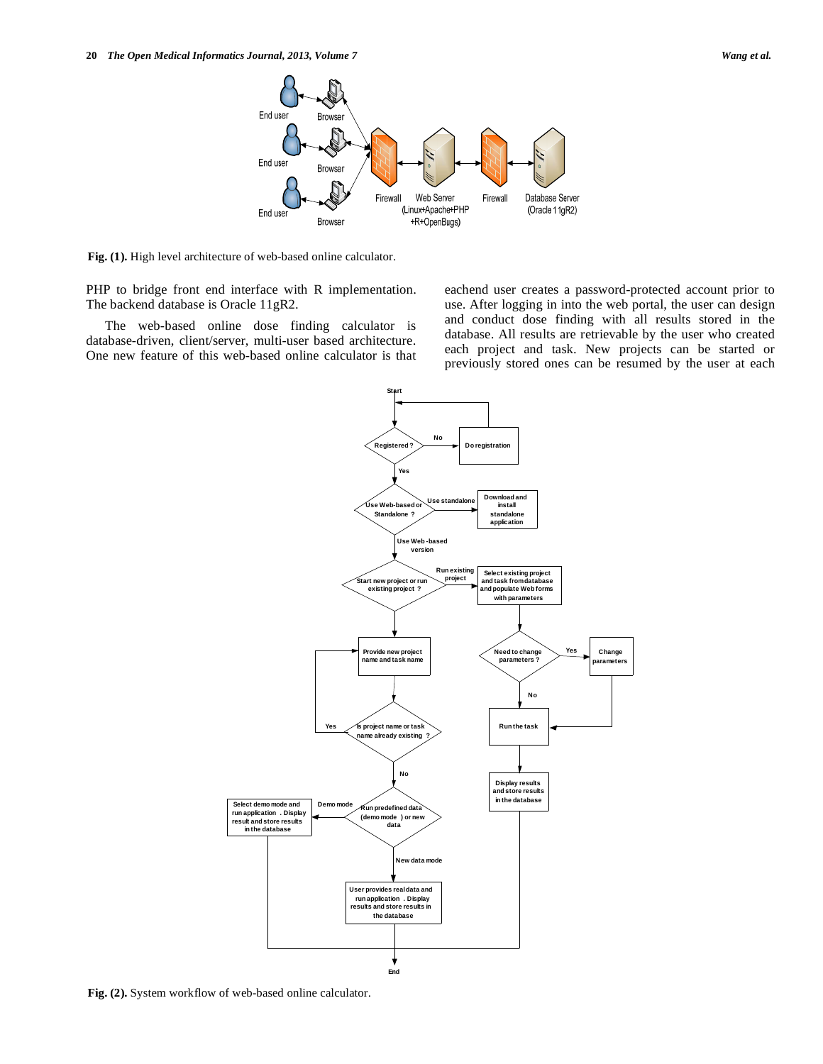

**Fig. (1).** High level architecture of web-based online calculator.

PHP to bridge front end interface with R implementation. The backend database is Oracle 11gR2.

 The web-based online dose finding calculator is database-driven, client/server, multi-user based architecture. One new feature of this web-based online calculator is that eachend user creates a password-protected account prior to use. After logging in into the web portal, the user can design and conduct dose finding with all results stored in the database. All results are retrievable by the user who created each project and task. New projects can be started or previously stored ones can be resumed by the user at each



**Fig. (2).** System workflow of web-based online calculator.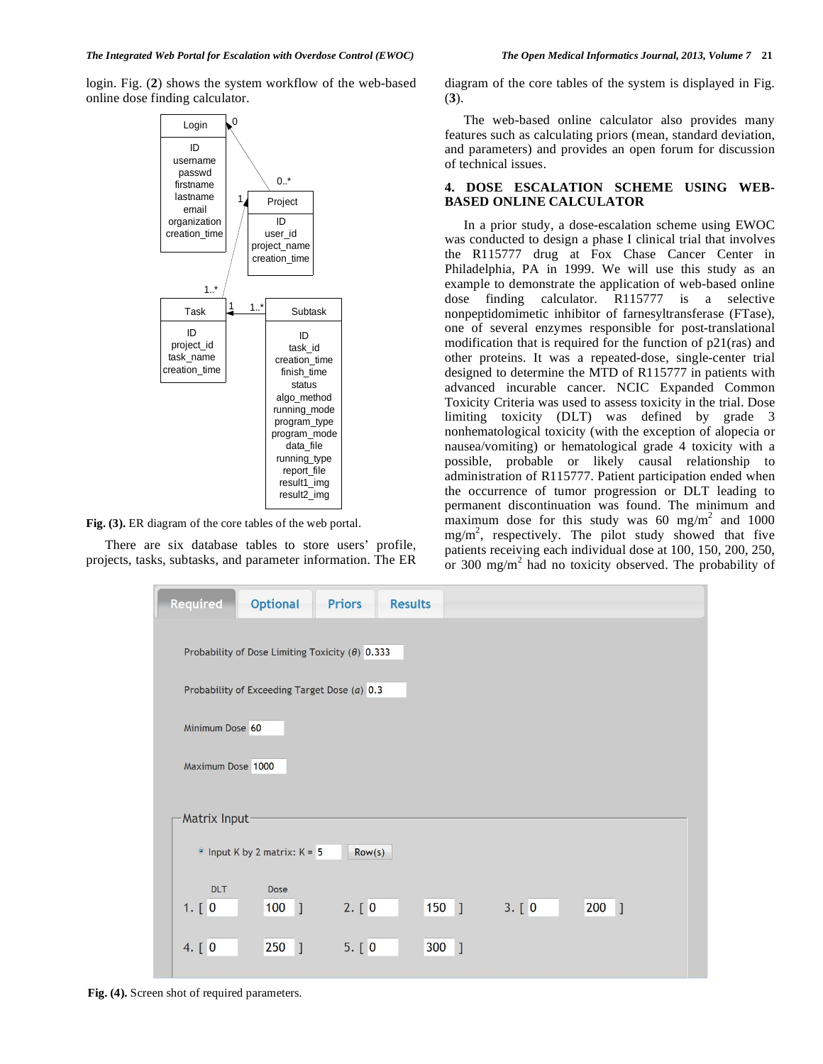login. Fig. (**2**) shows the system workflow of the web-based online dose finding calculator.



**Fig. (3).** ER diagram of the core tables of the web portal.

 There are six database tables to store users' profile, projects, tasks, subtasks, and parameter information. The ER diagram of the core tables of the system is displayed in Fig. (**3**).

 The web-based online calculator also provides many features such as calculating priors (mean, standard deviation, and parameters) and provides an open forum for discussion of technical issues.

# **4. DOSE ESCALATION SCHEME USING WEB-BASED ONLINE CALCULATOR**

 In a prior study, a dose-escalation scheme using EWOC was conducted to design a phase I clinical trial that involves the R115777 drug at Fox Chase Cancer Center in Philadelphia, PA in 1999. We will use this study as an example to demonstrate the application of web-based online dose finding calculator. R115777 is a selective nonpeptidomimetic inhibitor of farnesyltransferase (FTase), one of several enzymes responsible for post-translational modification that is required for the function of p21(ras) and other proteins. It was a repeated-dose, single-center trial designed to determine the MTD of R115777 in patients with advanced incurable cancer. NCIC Expanded Common Toxicity Criteria was used to assess toxicity in the trial. Dose limiting toxicity (DLT) was defined by grade 3 nonhematological toxicity (with the exception of alopecia or nausea/vomiting) or hematological grade 4 toxicity with a possible, probable or likely causal relationship to administration of R115777. Patient participation ended when the occurrence of tumor progression or DLT leading to permanent discontinuation was found. The minimum and maximum dose for this study was  $60 \text{ mg/m}^2$  and  $1000$  $mg/m<sup>2</sup>$ , respectively. The pilot study showed that five patients receiving each individual dose at 100, 150, 200, 250, or 300 mg/m<sup>2</sup> had no toxicity observed. The probability of

| <b>Required</b>                                        | <b>Optional</b>                | <b>Priors</b> | <b>Results</b>      |        |                       |  |  |  |
|--------------------------------------------------------|--------------------------------|---------------|---------------------|--------|-----------------------|--|--|--|
| Probability of Dose Limiting Toxicity $(\theta)$ 0.333 |                                |               |                     |        |                       |  |  |  |
| Probability of Exceeding Target Dose (a) 0.3           |                                |               |                     |        |                       |  |  |  |
| Minimum Dose 60                                        |                                |               |                     |        |                       |  |  |  |
| Maximum Dose 1000                                      |                                |               |                     |        |                       |  |  |  |
| <b>Matrix Input-</b>                                   |                                |               |                     |        |                       |  |  |  |
|                                                        | • Input K by 2 matrix: $K = 5$ | Row(s)        |                     |        |                       |  |  |  |
| <b>DLT</b><br>1. [0]                                   | <b>Dose</b><br>$100$ ]         | 2. [0]        | $150$ ]             | 3. [0] | 200<br>$\overline{1}$ |  |  |  |
| 4. [ 0                                                 | 250<br>$\mathbf{I}$            | 5. [0]        | 300<br>$\mathbf{1}$ |        |                       |  |  |  |

**Fig. (4).** Screen shot of required parameters.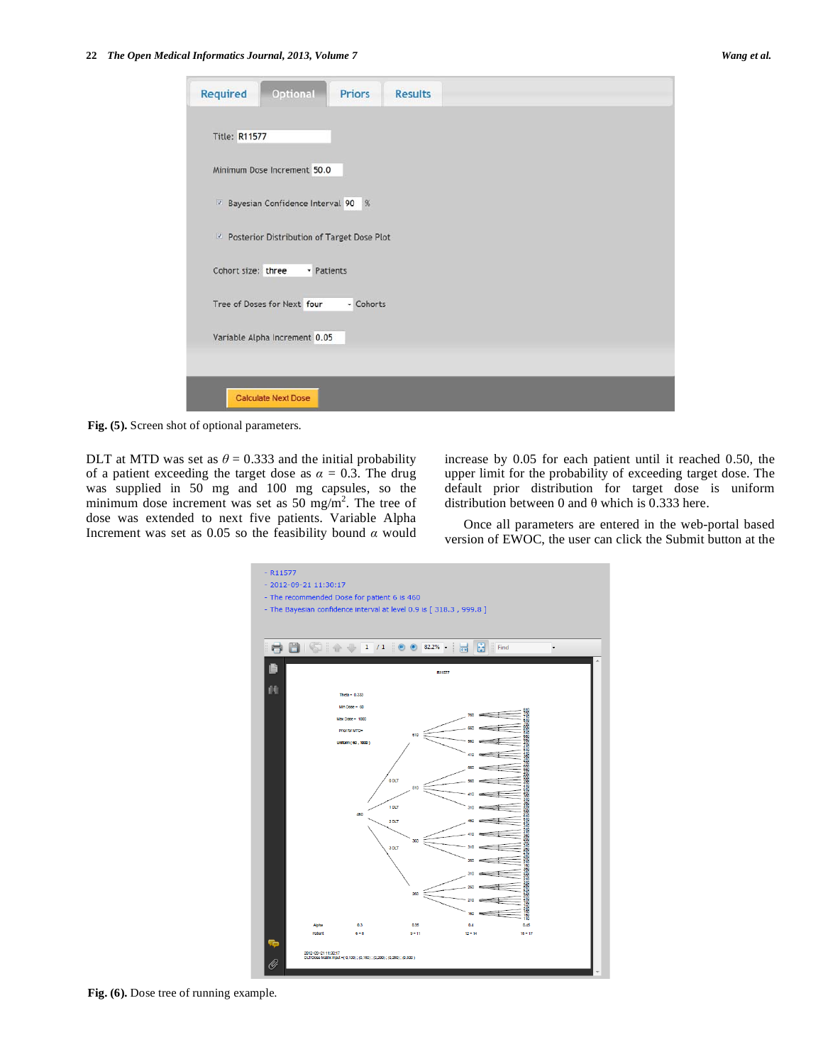| <b>Optional</b><br>Required<br><b>Priors</b>            | <b>Results</b> |  |
|---------------------------------------------------------|----------------|--|
| <b>Title: R11577</b>                                    |                |  |
| Minimum Dose Increment 50.0                             |                |  |
| Bayesian Confidence Interval 90 %                       |                |  |
| <sup>2</sup> Posterior Distribution of Target Dose Plot |                |  |
| Cohort size: three<br>· Patients                        |                |  |
| Tree of Doses for Next four                             | - Cohorts      |  |
| Variable Alpha Increment 0.05                           |                |  |
|                                                         |                |  |
| <b>Calculate Next Dose</b>                              |                |  |
|                                                         |                |  |

**Fig. (5).** Screen shot of optional parameters.

DLT at MTD was set as  $\theta = 0.333$  and the initial probability of a patient exceeding the target dose as  $\alpha = 0.3$ . The drug was supplied in 50 mg and 100 mg capsules, so the minimum dose increment was set as  $50 \text{ mg/m}^2$ . The tree of dose was extended to next five patients. Variable Alpha Increment was set as 0.05 so the feasibility bound  $\alpha$  would

increase by 0.05 for each patient until it reached 0.50, the upper limit for the probability of exceeding target dose. The default prior distribution for target dose is uniform distribution between 0 and  $\theta$  which is 0.333 here.

 Once all parameters are entered in the web-portal based version of EWOC, the user can click the Submit button at the